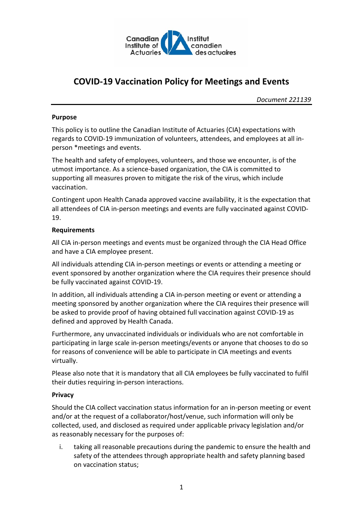

# **COVID-19 Vaccination Policy for Meetings and Events**

*Document 221139*

#### **Purpose**

This policy is to outline the Canadian Institute of Actuaries (CIA) expectations with regards to COVID-19 immunization of volunteers, attendees, and employees at all inperson \*meetings and events.

The health and safety of employees, volunteers, and those we encounter, is of the utmost importance. As a science-based organization, the CIA is committed to supporting all measures proven to mitigate the risk of the virus, which include vaccination.

Contingent upon Health Canada approved vaccine availability, it is the expectation that all attendees of CIA in-person meetings and events are fully vaccinated against COVID-19.

## **Requirements**

All CIA in-person meetings and events must be organized through the CIA Head Office and have a CIA employee present.

All individuals attending CIA in-person meetings or events or attending a meeting or event sponsored by another organization where the CIA requires their presence should be fully vaccinated against COVID-19.

In addition, all individuals attending a CIA in-person meeting or event or attending a meeting sponsored by another organization where the CIA requires their presence will be asked to provide proof of having obtained full vaccination against COVID-19 as defined and approved by Health Canada.

Furthermore, any unvaccinated individuals or individuals who are not comfortable in participating in large scale in-person meetings/events or anyone that chooses to do so for reasons of convenience will be able to participate in CIA meetings and events virtually.

Please also note that it is mandatory that all CIA employees be fully vaccinated to fulfil their duties requiring in-person interactions.

## **Privacy**

Should the CIA collect vaccination status information for an in-person meeting or event and/or at the request of a collaborator/host/venue, such information will only be collected, used, and disclosed as required under applicable privacy legislation and/or as reasonably necessary for the purposes of:

i. taking all reasonable precautions during the pandemic to ensure the health and safety of the attendees through appropriate health and safety planning based on vaccination status;